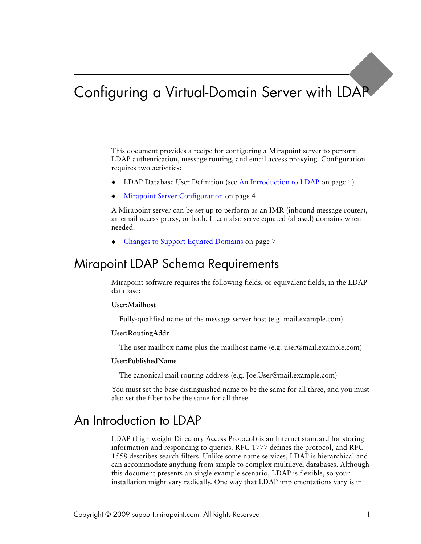# Configuring a Virtual-Domain Server with LDAP

This document provides a recipe for configuring a Mirapoint server to perform LDAP authentication, message routing, and email access proxying. Configuration requires two activities:

- LDAP Database User Definition (see [An Introduction to LDAP on page 1\)](#page-0-0)
- [Mirapoint Server Configuration on page 4](#page-3-0)

A Mirapoint server can be set up to perform as an IMR (inbound message router), an email access proxy, or both. It can also serve equated (aliased) domains when needed.

[Changes to Support Equated Domains on page 7](#page-6-0)

### Mirapoint LDAP Schema Requirements

Mirapoint software requires the following fields, or equivalent fields, in the LDAP database:

#### **User:Mailhost**

Fully-qualified name of the message server host (e.g. mail.example.com)

#### **User:RoutingAddr**

The user mailbox name plus the mailhost name (e.g. user@mail.example.com)

#### **User:PublishedName**

The canonical mail routing address (e.g. Joe.User@mail.example.com)

You must set the base distinguished name to be the same for all three, and you must also set the filter to be the same for all three.

### <span id="page-0-0"></span>An Introduction to LDAP

LDAP (Lightweight Directory Access Protocol) is an Internet standard for storing information and responding to queries. RFC 1777 defines the protocol, and RFC 1558 describes search filters. Unlike some name services, LDAP is hierarchical and can accommodate anything from simple to complex multilevel databases. Although this document presents an single example scenario, LDAP is flexible, so your installation might vary radically. One way that LDAP implementations vary is in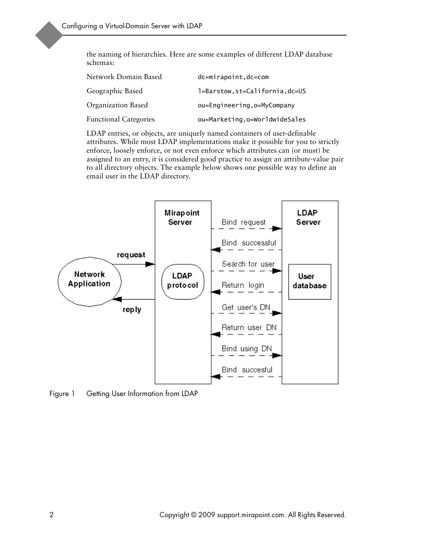the naming of hierarchies. Here are some examples of different LDAP database schemas:

| Network Domain Based         | dc=mirapoint, dc=com            |
|------------------------------|---------------------------------|
| Geographic Based             | 1=Barstow, st=California, dc=US |
| Organization Based           | ou=Engineering, o=MyCompany     |
| <b>Functional Categories</b> | ou=Marketing, o=WorldwideSales  |

LDAP entries, or objects, are uniquely named containers of user-definable attributes. While most LDAP implementations make it possible for you to strictly enforce, loosely enforce, or not even enforce which attributes can (or must) be assigned to an entry, it is considered good practice to assign an attribute-value pair to all directory objects. The example below shows one possible way to define an email user in the LDAP directory.



Figure 1 Getting User Information from LDAP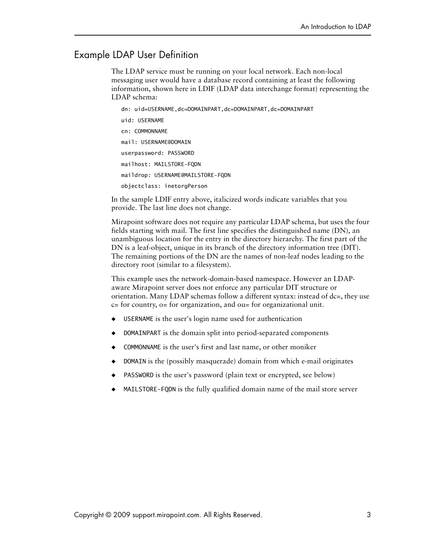# Example LDAP User Definition

The LDAP service must be running on your local network. Each non-local messaging user would have a database record containing at least the following information, shown here in LDIF (LDAP data interchange format) representing the LDAP schema:

 dn: uid=USERNAME,dc=DOMAINPART,dc=DOMAINPART,dc=DOMAINPART uid: USERNAME cn: COMMONNAME mail: USERNAME@DOMAIN userpassword: PASSWORD mailhost: MAILSTORE-FQDN maildrop: USERNAME@MAILSTORE-FQDN objectclass: inetorgPerson

In the sample LDIF entry above, italicized words indicate variables that you provide. The last line does not change.

Mirapoint software does not require any particular LDAP schema, but uses the four fields starting with mail. The first line specifies the distinguished name (DN), an unambiguous location for the entry in the directory hierarchy. The first part of the DN is a leaf-object, unique in its branch of the directory information tree (DIT). The remaining portions of the DN are the names of non-leaf nodes leading to the directory root (similar to a filesystem).

This example uses the network-domain-based namespace. However an LDAPaware Mirapoint server does not enforce any particular DIT structure or orientation. Many LDAP schemas follow a different syntax: instead of dc=, they use c= for country, o= for organization, and ou= for organizational unit.

- USERNAME is the user's login name used for authentication
- DOMAINPART is the domain split into period-separated components
- COMMONNAME is the user's first and last name, or other moniker
- **DOMAIN** is the (possibly masquerade) domain from which e-mail originates
- PASSWORD is the user's password (plain text or encrypted, see below)
- ◆ MAILSTORE-FQDN is the fully qualified domain name of the mail store server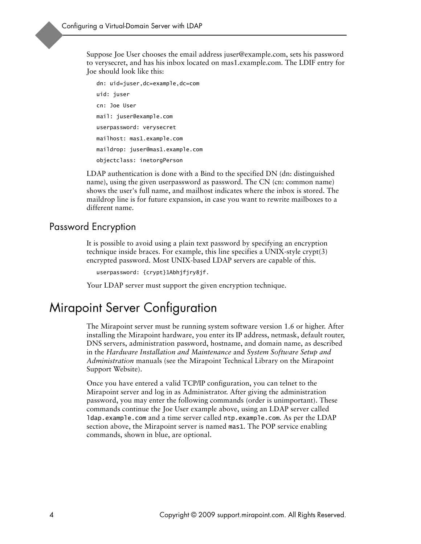Suppose Joe User chooses the email address juser@example.com, sets his password to verysecret, and has his inbox located on mas1.example.com. The LDIF entry for Joe should look like this:

 dn: uid=juser,dc=example,dc=com uid: juser cn: Joe User mail: juser@example.com userpassword: verysecret mailhost: mas1.example.com maildrop: juser@mas1.example.com objectclass: inetorgPerson

LDAP authentication is done with a Bind to the specified DN (dn: distinguished name), using the given userpassword as password. The CN (cn: common name) shows the user's full name, and mailhost indicates where the inbox is stored. The maildrop line is for future expansion, in case you want to rewrite mailboxes to a different name.

### Password Encryption

It is possible to avoid using a plain text password by specifying an encryption technique inside braces. For example, this line specifies a UNIX-style crypt(3) encrypted password. Most UNIX-based LDAP servers are capable of this.

userpassword: {crypt}1Abhjfjry8jf.

Your LDAP server must support the given encryption technique.

# <span id="page-3-0"></span>Mirapoint Server Configuration

The Mirapoint server must be running system software version 1.6 or higher. After installing the Mirapoint hardware, you enter its IP address, netmask, default router, DNS servers, administration password, hostname, and domain name, as described in the *Hardware Installation and Maintenance* and *System Software Setup and Administration* manuals (see the Mirapoint Technical Library on the Mirapoint Support Website).

Once you have entered a valid TCP/IP configuration, you can telnet to the Mirapoint server and log in as Administrator. After giving the administration password, you may enter the following commands (order is unimportant). These commands continue the Joe User example above, using an LDAP server called ldap.example.com and a time server called ntp.example.com. As per the LDAP section above, the Mirapoint server is named mas1. The POP service enabling commands, shown in blue, are optional.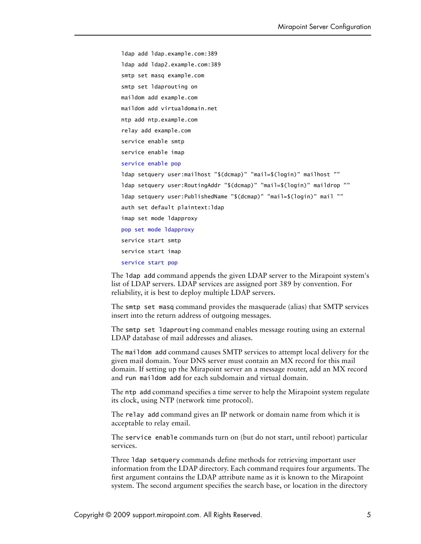```
 ldap add ldap.example.com:389
 ldap add ldap2.example.com:389
 smtp set masq example.com
 smtp set ldaprouting on
 maildom add example.com
 maildom add virtualdomain.net
 ntp add ntp.example.com
 relay add example.com
 service enable smtp
 service enable imap
 service enable pop
 ldap setquery user:mailhost "$(dcmap)" "mail=$(login)" mailhost ""
 ldap setquery user:RoutingAddr "$(dcmap)" "mail=$(login)" maildrop ""
 ldap setquery user:PublishedName "$(dcmap)" "mail=$(login)" mail ""
 auth set default plaintext:ldap
 imap set mode ldapproxy
 pop set mode ldapproxy
 service start smtp
 service start imap
 service start pop
```
The ldap add command appends the given LDAP server to the Mirapoint system's list of LDAP servers. LDAP services are assigned port 389 by convention. For reliability, it is best to deploy multiple LDAP servers.

The smtp set masq command provides the masquerade (alias) that SMTP services insert into the return address of outgoing messages.

The smtp set ldaprouting command enables message routing using an external LDAP database of mail addresses and aliases.

The maildom add command causes SMTP services to attempt local delivery for the given mail domain. Your DNS server must contain an MX record for this mail domain. If setting up the Mirapoint server an a message router, add an MX record and run maildom add for each subdomain and virtual domain.

The ntp add command specifies a time server to help the Mirapoint system regulate its clock, using NTP (network time protocol).

The relay add command gives an IP network or domain name from which it is acceptable to relay email.

The service enable commands turn on (but do not start, until reboot) particular services.

Three ldap setquery commands define methods for retrieving important user information from the LDAP directory. Each command requires four arguments. The first argument contains the LDAP attribute name as it is known to the Mirapoint system. The second argument specifies the search base, or location in the directory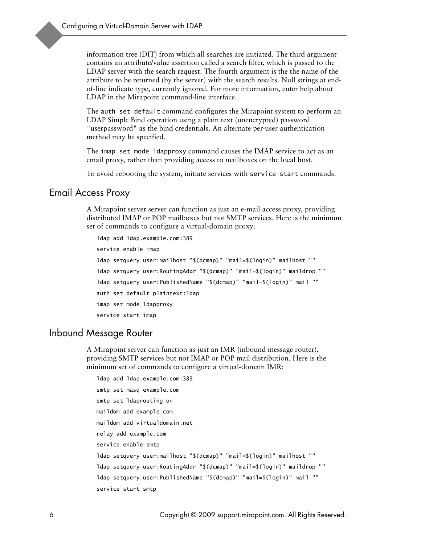information tree (DIT) from which all searches are initiated. The third argument contains an attribute/value assertion called a search filter, which is passed to the LDAP server with the search request. The fourth argument is the the name of the attribute to be returned (by the server) with the search results. Null strings at endof-line indicate type, currently ignored. For more information, enter help about LDAP in the Mirapoint command-line interface.

The auth set default command configures the Mirapoint system to perform an LDAP Simple Bind operation using a plain text (unencrypted) password "userpassword" as the bind credentials. An alternate per-user authentication method may be specified.

The imap set mode Idapproxy command causes the IMAP service to act as an email proxy, rather than providing access to mailboxes on the local host.

To avoid rebooting the system, initiate services with service start commands.

#### Email Access Proxy

A Mirapoint server server can function as just an e-mail access proxy, providing distributed IMAP or POP mailboxes but not SMTP services. Here is the minimum set of commands to configure a virtual-domain proxy:

```
 ldap add ldap.example.com:389
 service enable imap
 ldap setquery user:mailhost "$(dcmap)" "mail=$(login)" mailhost ""
 ldap setquery user:RoutingAddr "$(dcmap)" "mail=$(login)" maildrop ""
 ldap setquery user:PublishedName "$(dcmap)" "mail=$(login)" mail ""
 auth set default plaintext:ldap
 imap set mode ldapproxy
 service start imap
```
#### Inbound Message Router

A Mirapoint server can function as just an IMR (inbound message router), providing SMTP services but not IMAP or POP mail distribution. Here is the minimum set of commands to configure a virtual-domain IMR:

```
 ldap add ldap.example.com:389
 smtp set masq example.com
 smtp set ldaprouting on
 maildom add example.com
 maildom add virtualdomain.net
 relay add example.com
 service enable smtp
 ldap setquery user:mailhost "$(dcmap)" "mail=$(login)" mailhost ""
 ldap setquery user:RoutingAddr "$(dcmap)" "mail=$(login)" maildrop ""
 ldap setquery user:PublishedName "$(dcmap)" "mail=$(login)" mail ""
 service start smtp
```